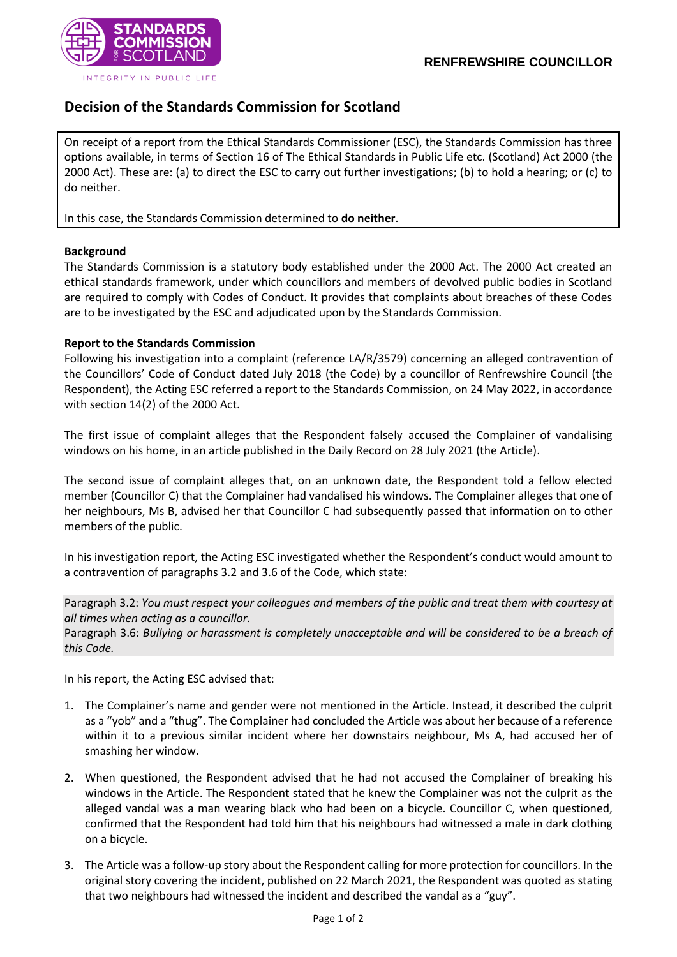

#### INTEGRITY IN PUBLIC LIFE

# **Decision of the Standards Commission for Scotland**

On receipt of a report from the Ethical Standards Commissioner (ESC), the Standards Commission has three options available, in terms of Section 16 of The Ethical Standards in Public Life etc. (Scotland) Act 2000 (the 2000 Act). These are: (a) to direct the ESC to carry out further investigations; (b) to hold a hearing; or (c) to do neither.

In this case, the Standards Commission determined to **do neither**.

## **Background**

The Standards Commission is a statutory body established under the 2000 Act. The 2000 Act created an ethical standards framework, under which councillors and members of devolved public bodies in Scotland are required to comply with Codes of Conduct. It provides that complaints about breaches of these Codes are to be investigated by the ESC and adjudicated upon by the Standards Commission.

## **Report to the Standards Commission**

Following his investigation into a complaint (reference LA/R/3579) concerning an alleged contravention of the Councillors' Code of Conduct dated July 2018 (the Code) by a councillor of Renfrewshire Council (the Respondent), the Acting ESC referred a report to the Standards Commission, on 24 May 2022, in accordance with section 14(2) of the 2000 Act.

The first issue of complaint alleges that the Respondent falsely accused the Complainer of vandalising windows on his home, in an article published in the Daily Record on 28 July 2021 (the Article).

The second issue of complaint alleges that, on an unknown date, the Respondent told a fellow elected member (Councillor C) that the Complainer had vandalised his windows. The Complainer alleges that one of her neighbours, Ms B, advised her that Councillor C had subsequently passed that information on to other members of the public.

In his investigation report, the Acting ESC investigated whether the Respondent's conduct would amount to a contravention of paragraphs 3.2 and 3.6 of the Code, which state:

Paragraph 3.2: *You must respect your colleagues and members of the public and treat them with courtesy at all times when acting as a councillor.*

Paragraph 3.6: *Bullying or harassment is completely unacceptable and will be considered to be a breach of this Code.*

In his report, the Acting ESC advised that:

- 1. The Complainer's name and gender were not mentioned in the Article. Instead, it described the culprit as a "yob" and a "thug". The Complainer had concluded the Article was about her because of a reference within it to a previous similar incident where her downstairs neighbour, Ms A, had accused her of smashing her window.
- 2. When questioned, the Respondent advised that he had not accused the Complainer of breaking his windows in the Article. The Respondent stated that he knew the Complainer was not the culprit as the alleged vandal was a man wearing black who had been on a bicycle. Councillor C, when questioned, confirmed that the Respondent had told him that his neighbours had witnessed a male in dark clothing on a bicycle.
- 3. The Article was a follow-up story about the Respondent calling for more protection for councillors. In the original story covering the incident, published on 22 March 2021, the Respondent was quoted as stating that two neighbours had witnessed the incident and described the vandal as a "guy".